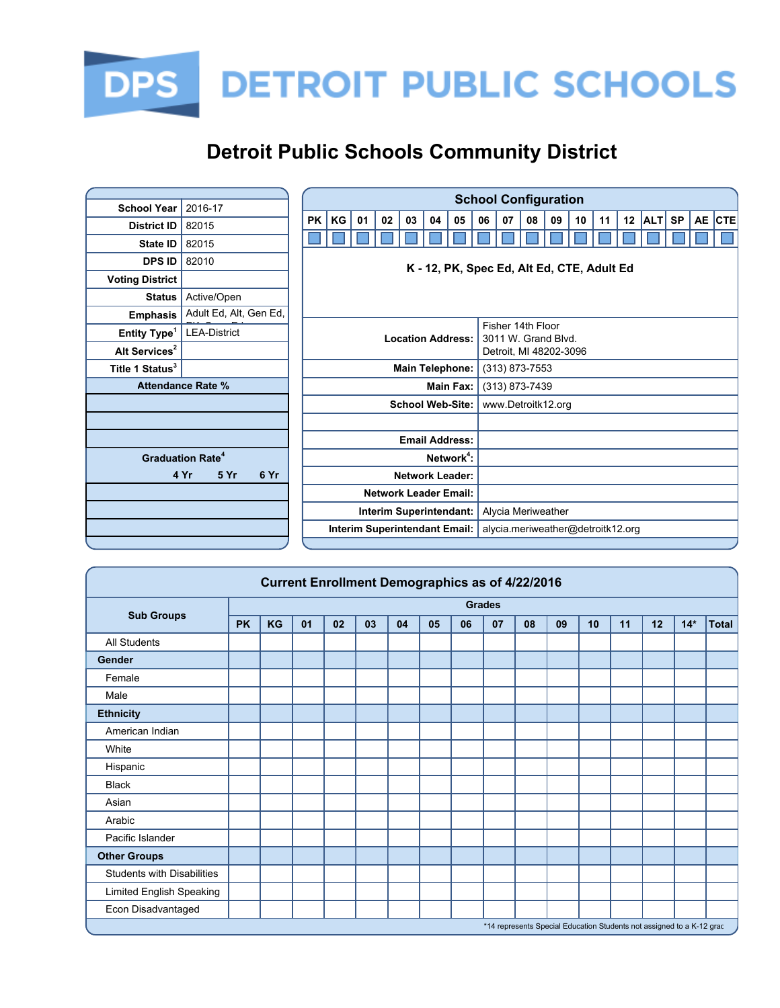

|                             |                                    |                        |                                            |    |                              |    |                        |                        |    |                                   | <b>School Configuration</b>              |    |    |    |                 |            |           |           |            |
|-----------------------------|------------------------------------|------------------------|--------------------------------------------|----|------------------------------|----|------------------------|------------------------|----|-----------------------------------|------------------------------------------|----|----|----|-----------------|------------|-----------|-----------|------------|
| <b>School Year</b>          | 2016-17                            |                        |                                            |    |                              |    |                        |                        |    |                                   |                                          |    |    |    |                 |            |           |           |            |
| <b>District ID</b>          | 82015                              | <b>PK</b>              | KG                                         | 01 | 02                           | 03 | 04                     | 05                     | 06 | 07                                | 08                                       | 09 | 10 | 11 | 12 <sub>2</sub> | <b>ALT</b> | <b>SP</b> | <b>AE</b> | <b>CTE</b> |
| State ID                    | 82015                              |                        |                                            |    |                              |    |                        |                        |    |                                   |                                          |    |    |    |                 |            |           |           |            |
| <b>DPS ID</b>               | 82010                              |                        |                                            |    |                              |    |                        |                        |    |                                   |                                          |    |    |    |                 |            |           |           |            |
| <b>Voting District</b>      |                                    |                        | K - 12, PK, Spec Ed, Alt Ed, CTE, Adult Ed |    |                              |    |                        |                        |    |                                   |                                          |    |    |    |                 |            |           |           |            |
| <b>Status</b>               | Active/Open                        |                        |                                            |    |                              |    |                        |                        |    |                                   |                                          |    |    |    |                 |            |           |           |            |
| <b>Emphasis</b>             | Adult Ed, Alt, Gen Ed,             |                        |                                            |    |                              |    |                        |                        |    |                                   |                                          |    |    |    |                 |            |           |           |            |
| Entity Type <sup>1</sup>    | <b>LEA-District</b>                |                        | <b>Location Address:</b>                   |    |                              |    |                        |                        |    |                                   | Fisher 14th Floor<br>3011 W. Grand Blvd. |    |    |    |                 |            |           |           |            |
| Alt Services <sup>2</sup>   |                                    |                        |                                            |    |                              |    |                        |                        |    |                                   | Detroit, MI 48202-3096                   |    |    |    |                 |            |           |           |            |
| Title 1 Status <sup>3</sup> |                                    |                        |                                            |    |                              |    | <b>Main Telephone:</b> |                        |    |                                   | $(313)$ 873-7553                         |    |    |    |                 |            |           |           |            |
|                             | <b>Attendance Rate %</b>           |                        | Main Fax:                                  |    |                              |    |                        |                        |    |                                   | (313) 873-7439                           |    |    |    |                 |            |           |           |            |
|                             |                                    |                        | <b>School Web-Site:</b>                    |    |                              |    |                        |                        |    | www.Detroitk12.org                |                                          |    |    |    |                 |            |           |           |            |
|                             |                                    |                        |                                            |    |                              |    |                        |                        |    |                                   |                                          |    |    |    |                 |            |           |           |            |
|                             |                                    |                        |                                            |    |                              |    | <b>Email Address:</b>  |                        |    |                                   |                                          |    |    |    |                 |            |           |           |            |
|                             | <b>Graduation Rate<sup>4</sup></b> |                        |                                            |    |                              |    |                        | Network <sup>4</sup> : |    |                                   |                                          |    |    |    |                 |            |           |           |            |
|                             | 6 Yr<br>4 Yr<br>5 Yr               | <b>Network Leader:</b> |                                            |    |                              |    |                        |                        |    |                                   |                                          |    |    |    |                 |            |           |           |            |
|                             |                                    |                        |                                            |    | <b>Network Leader Email:</b> |    |                        |                        |    |                                   |                                          |    |    |    |                 |            |           |           |            |
|                             |                                    |                        | Interim Superintendant:                    |    |                              |    |                        |                        |    | Alycia Meriweather                |                                          |    |    |    |                 |            |           |           |            |
|                             |                                    |                        | Interim Superintendant Email:              |    |                              |    |                        |                        |    | alycia.meriweather@detroitk12.org |                                          |    |    |    |                 |            |           |           |            |

| <b>Current Enrollment Demographics as of 4/22/2016</b>                |           |    |    |    |    |    |    |    |               |    |    |    |    |    |       |       |
|-----------------------------------------------------------------------|-----------|----|----|----|----|----|----|----|---------------|----|----|----|----|----|-------|-------|
|                                                                       |           |    |    |    |    |    |    |    | <b>Grades</b> |    |    |    |    |    |       |       |
| <b>Sub Groups</b>                                                     | <b>PK</b> | KG | 01 | 02 | 03 | 04 | 05 | 06 | 07            | 08 | 09 | 10 | 11 | 12 | $14*$ | Total |
| <b>All Students</b>                                                   |           |    |    |    |    |    |    |    |               |    |    |    |    |    |       |       |
| Gender                                                                |           |    |    |    |    |    |    |    |               |    |    |    |    |    |       |       |
| Female                                                                |           |    |    |    |    |    |    |    |               |    |    |    |    |    |       |       |
| Male                                                                  |           |    |    |    |    |    |    |    |               |    |    |    |    |    |       |       |
| <b>Ethnicity</b>                                                      |           |    |    |    |    |    |    |    |               |    |    |    |    |    |       |       |
| American Indian                                                       |           |    |    |    |    |    |    |    |               |    |    |    |    |    |       |       |
| White                                                                 |           |    |    |    |    |    |    |    |               |    |    |    |    |    |       |       |
| Hispanic                                                              |           |    |    |    |    |    |    |    |               |    |    |    |    |    |       |       |
| <b>Black</b>                                                          |           |    |    |    |    |    |    |    |               |    |    |    |    |    |       |       |
| Asian                                                                 |           |    |    |    |    |    |    |    |               |    |    |    |    |    |       |       |
| Arabic                                                                |           |    |    |    |    |    |    |    |               |    |    |    |    |    |       |       |
| Pacific Islander                                                      |           |    |    |    |    |    |    |    |               |    |    |    |    |    |       |       |
| <b>Other Groups</b>                                                   |           |    |    |    |    |    |    |    |               |    |    |    |    |    |       |       |
| Students with Disabilities                                            |           |    |    |    |    |    |    |    |               |    |    |    |    |    |       |       |
| Limited English Speaking                                              |           |    |    |    |    |    |    |    |               |    |    |    |    |    |       |       |
| Econ Disadvantaged                                                    |           |    |    |    |    |    |    |    |               |    |    |    |    |    |       |       |
| *14 represents Special Education Students not assigned to a K-12 grac |           |    |    |    |    |    |    |    |               |    |    |    |    |    |       |       |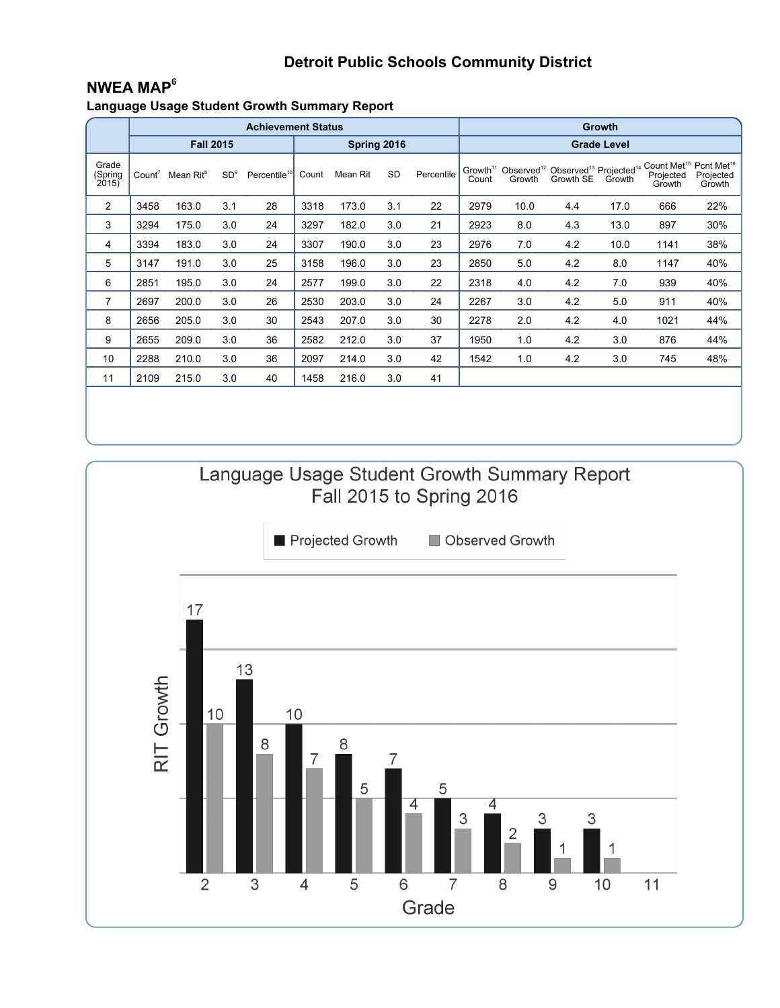## **NWEA MAP<sup>6</sup>**

**Language Usage Student Growth Summary Report**

|                           | <b>Achievement Status</b> |                       |                 |                          |       |             |           |            |                    | <b>Growth</b> |                                                                                                                |      |                                                                       |                     |  |  |  |
|---------------------------|---------------------------|-----------------------|-----------------|--------------------------|-------|-------------|-----------|------------|--------------------|---------------|----------------------------------------------------------------------------------------------------------------|------|-----------------------------------------------------------------------|---------------------|--|--|--|
|                           |                           | <b>Fall 2015</b>      |                 |                          |       | Spring 2016 |           |            | <b>Grade Level</b> |               |                                                                                                                |      |                                                                       |                     |  |  |  |
| Grade<br>(Spring<br>2015) | Count <sup>7</sup>        | Mean Rit <sup>8</sup> | SD <sup>9</sup> | Percentile <sup>10</sup> | Count | Mean Rit    | <b>SD</b> | Percentile | Count              | Growth        | Growth <sup>11</sup> Observed <sup>12</sup> Observed <sup>13</sup> Projected <sup>14</sup><br>Growth SE Growth |      | Count Met <sup>15</sup> Pcnt Met <sup>16</sup><br>Projected<br>Growth | Projected<br>Growth |  |  |  |
| 2                         | 3458                      | 163.0                 | 3.1             | 28                       | 3318  | 173.0       | 3.1       | 22         | 2979               | 10.0          | 4.4                                                                                                            | 17.0 | 666                                                                   | 22%                 |  |  |  |
| 3                         | 3294                      | 175.0                 | 3.0             | 24                       | 3297  | 182.0       | 3.0       | 21         | 2923               | 8.0           | 4.3                                                                                                            | 13.0 | 897                                                                   | 30%                 |  |  |  |
| 4                         | 3394                      | 183.0                 | 3.0             | 24                       | 3307  | 190.0       | 3.0       | 23         | 2976               | 7.0           | 4.2                                                                                                            | 10.0 | 1141                                                                  | 38%                 |  |  |  |
| 5                         | 3147                      | 191.0                 | 3.0             | 25                       | 3158  | 196.0       | 3.0       | 23         | 2850               | 5.0           | 4.2                                                                                                            | 8.0  | 1147                                                                  | 40%                 |  |  |  |
| 6                         | 2851                      | 195.0                 | 3.0             | 24                       | 2577  | 199.0       | 3.0       | 22         | 2318               | 4.0           | 4.2                                                                                                            | 7.0  | 939                                                                   | 40%                 |  |  |  |
| $\overline{7}$            | 2697                      | 200.0                 | 3.0             | 26                       | 2530  | 203.0       | 3.0       | 24         | 2267               | 3.0           | 4.2                                                                                                            | 5.0  | 911                                                                   | 40%                 |  |  |  |
| 8                         | 2656                      | 205.0                 | 3.0             | 30                       | 2543  | 207.0       | 3.0       | 30         | 2278               | 2.0           | 4.2                                                                                                            | 4.0  | 1021                                                                  | 44%                 |  |  |  |
| 9                         | 2655                      | 209.0                 | 3.0             | 36                       | 2582  | 212.0       | 3.0       | 37         | 1950               | 1.0           | 4.2                                                                                                            | 3.0  | 876                                                                   | 44%                 |  |  |  |
| 10                        | 2288                      | 210.0                 | 3.0             | 36                       | 2097  | 214.0       | 3.0       | 42         | 1542               | 1.0           | 4.2                                                                                                            | 3.0  | 745                                                                   | 48%                 |  |  |  |
| 11                        | 2109                      | 215.0                 | 3.0             | 40                       | 1458  | 216.0       | 3.0       | 41         |                    |               |                                                                                                                |      |                                                                       |                     |  |  |  |
|                           |                           |                       |                 |                          |       |             |           |            |                    |               |                                                                                                                |      |                                                                       |                     |  |  |  |

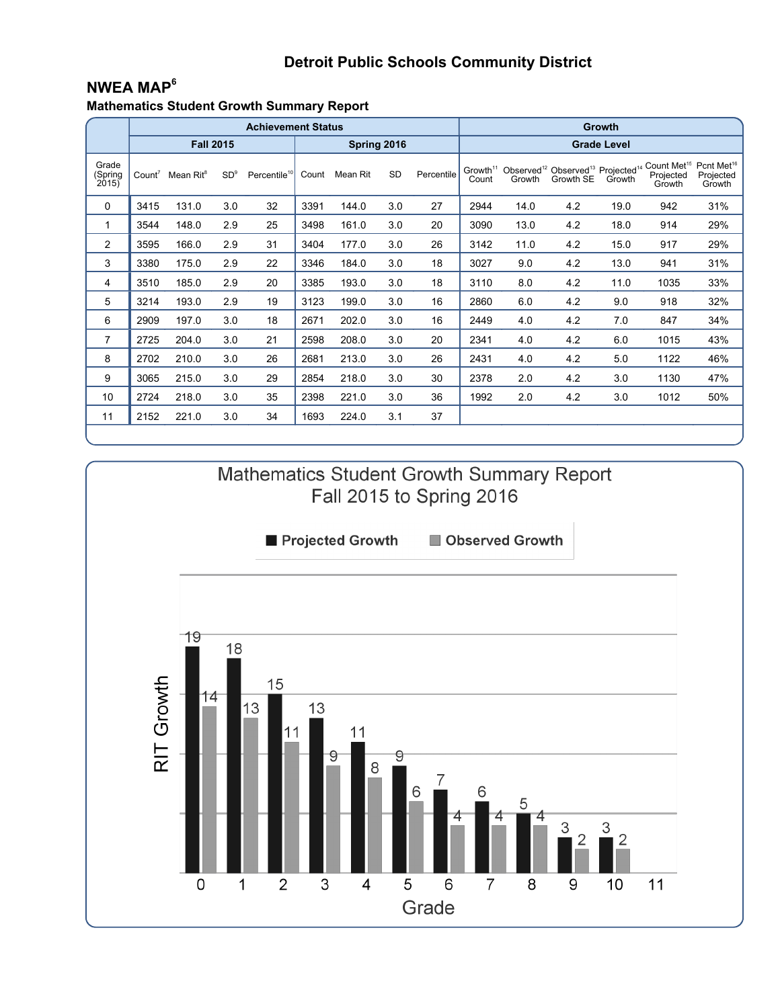## **NWEA MAP<sup>6</sup>**

**Mathematics Student Growth Summary Report**

|                           |                    |                       |                 | <b>Achievement Status</b> |       |             |           | <b>Growth</b> |                               |        |                                                                                    |        |                                                                       |                     |  |  |  |
|---------------------------|--------------------|-----------------------|-----------------|---------------------------|-------|-------------|-----------|---------------|-------------------------------|--------|------------------------------------------------------------------------------------|--------|-----------------------------------------------------------------------|---------------------|--|--|--|
|                           |                    | <b>Fall 2015</b>      |                 |                           |       | Spring 2016 |           |               | <b>Grade Level</b>            |        |                                                                                    |        |                                                                       |                     |  |  |  |
| Grade<br>(Spring<br>2015) | Count <sup>7</sup> | Mean Rit <sup>8</sup> | SD <sup>9</sup> | Percentile <sup>10</sup>  | Count | Mean Rit    | <b>SD</b> | Percentile    | Growth <sup>11</sup><br>Count | Growth | Observed <sup>12</sup> Observed <sup>13</sup> Projected <sup>14</sup><br>Growth SE | Growth | Count Met <sup>15</sup> Pcnt Met <sup>16</sup><br>Projected<br>Growth | Projected<br>Growth |  |  |  |
| $\Omega$                  | 3415               | 131.0                 | 3.0             | 32                        | 3391  | 144.0       | 3.0       | 27            | 2944                          | 14.0   | 4.2                                                                                | 19.0   | 942                                                                   | 31%                 |  |  |  |
| 1                         | 3544               | 148.0                 | 2.9             | 25                        | 3498  | 161.0       | 3.0       | 20            | 3090                          | 13.0   | 4.2                                                                                | 18.0   | 914                                                                   | 29%                 |  |  |  |
| $\overline{2}$            | 3595               | 166.0                 | 2.9             | 31                        | 3404  | 177.0       | 3.0       | 26            | 3142                          | 11.0   | 4.2                                                                                | 15.0   | 917                                                                   | 29%                 |  |  |  |
| 3                         | 3380               | 175.0                 | 2.9             | 22                        | 3346  | 184.0       | 3.0       | 18            | 3027                          | 9.0    | 4.2                                                                                | 13.0   | 941                                                                   | 31%                 |  |  |  |
| 4                         | 3510               | 185.0                 | 2.9             | 20                        | 3385  | 193.0       | 3.0       | 18            | 3110                          | 8.0    | 4.2                                                                                | 11.0   | 1035                                                                  | 33%                 |  |  |  |
| 5                         | 3214               | 193.0                 | 2.9             | 19                        | 3123  | 199.0       | 3.0       | 16            | 2860                          | 6.0    | 4.2                                                                                | 9.0    | 918                                                                   | 32%                 |  |  |  |
| 6                         | 2909               | 197.0                 | 3.0             | 18                        | 2671  | 202.0       | 3.0       | 16            | 2449                          | 4.0    | 4.2                                                                                | 7.0    | 847                                                                   | 34%                 |  |  |  |
| 7                         | 2725               | 204.0                 | 3.0             | 21                        | 2598  | 208.0       | 3.0       | 20            | 2341                          | 4.0    | 4.2                                                                                | 6.0    | 1015                                                                  | 43%                 |  |  |  |
| 8                         | 2702               | 210.0                 | 3.0             | 26                        | 2681  | 213.0       | 3.0       | 26            | 2431                          | 4.0    | 4.2                                                                                | 5.0    | 1122                                                                  | 46%                 |  |  |  |
| 9                         | 3065               | 215.0                 | 3.0             | 29                        | 2854  | 218.0       | 3.0       | 30            | 2378                          | 2.0    | 4.2                                                                                | 3.0    | 1130                                                                  | 47%                 |  |  |  |
| 10                        | 2724               | 218.0                 | 3.0             | 35                        | 2398  | 221.0       | 3.0       | 36            | 1992                          | 2.0    | 4.2                                                                                | 3.0    | 1012                                                                  | 50%                 |  |  |  |
| 11                        | 2152               | 221.0                 | 3.0             | 34                        | 1693  | 224.0       | 3.1       | 37            |                               |        |                                                                                    |        |                                                                       |                     |  |  |  |
|                           |                    |                       |                 |                           |       |             |           |               |                               |        |                                                                                    |        |                                                                       |                     |  |  |  |

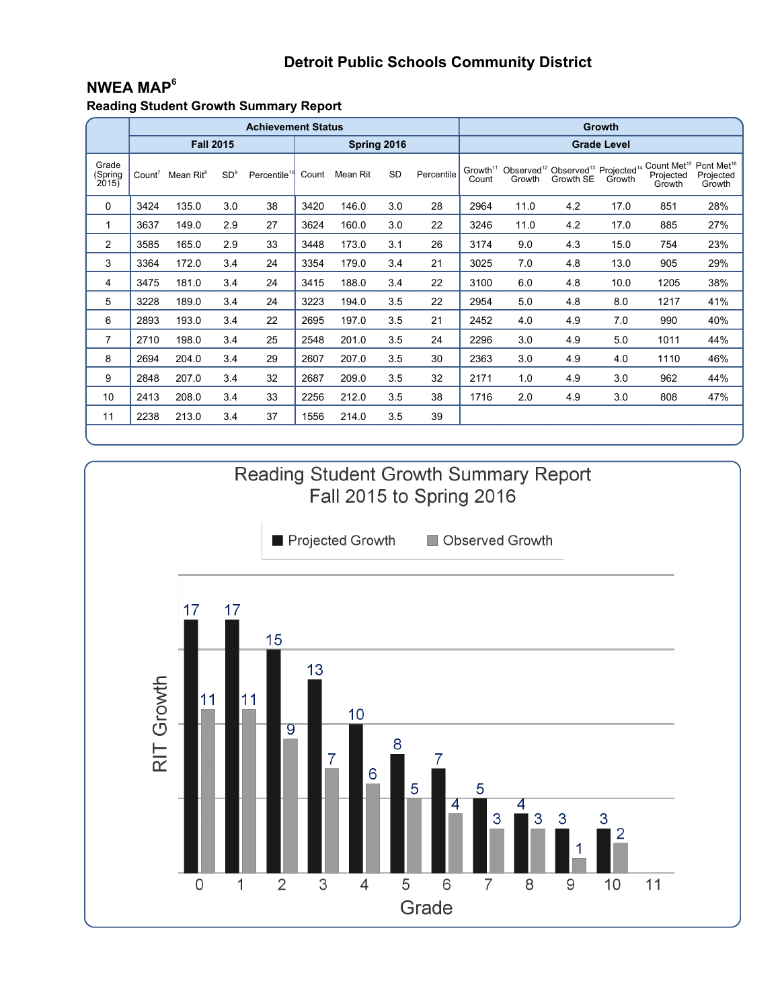## **NWEA MAP<sup>6</sup>**

**Reading Student Growth Summary Report**

|                           |                    |                       |                 | <b>Achievement Status</b> |       |             |           | <b>Growth</b> |                               |        |                                                                                    |        |                                                                       |                     |  |
|---------------------------|--------------------|-----------------------|-----------------|---------------------------|-------|-------------|-----------|---------------|-------------------------------|--------|------------------------------------------------------------------------------------|--------|-----------------------------------------------------------------------|---------------------|--|
|                           |                    | <b>Fall 2015</b>      |                 |                           |       | Spring 2016 |           |               | <b>Grade Level</b>            |        |                                                                                    |        |                                                                       |                     |  |
| Grade<br>(Spring<br>2015) | Count <sup>7</sup> | Mean Rit <sup>8</sup> | SD <sup>9</sup> | Percentile <sup>10</sup>  | Count | Mean Rit    | <b>SD</b> | Percentile    | Growth <sup>11</sup><br>Count | Growth | Observed <sup>12</sup> Observed <sup>13</sup> Projected <sup>14</sup><br>Growth SE | Growth | Count Met <sup>15</sup> Pcnt Met <sup>16</sup><br>Projected<br>Growth | Projected<br>Growth |  |
| 0                         | 3424               | 135.0                 | 3.0             | 38                        | 3420  | 146.0       | 3.0       | 28            | 2964                          | 11.0   | 4.2                                                                                | 17.0   | 851                                                                   | 28%                 |  |
| 1                         | 3637               | 149.0                 | 2.9             | 27                        | 3624  | 160.0       | 3.0       | 22            | 3246                          | 11.0   | 4.2                                                                                | 17.0   | 885                                                                   | 27%                 |  |
| 2                         | 3585               | 165.0                 | 2.9             | 33                        | 3448  | 173.0       | 3.1       | 26            | 3174                          | 9.0    | 4.3                                                                                | 15.0   | 754                                                                   | 23%                 |  |
| 3                         | 3364               | 172.0                 | 3.4             | 24                        | 3354  | 179.0       | 3.4       | 21            | 3025                          | 7.0    | 4.8                                                                                | 13.0   | 905                                                                   | 29%                 |  |
| 4                         | 3475               | 181.0                 | 3.4             | 24                        | 3415  | 188.0       | 3.4       | 22            | 3100                          | 6.0    | 4.8                                                                                | 10.0   | 1205                                                                  | 38%                 |  |
| 5                         | 3228               | 189.0                 | 3.4             | 24                        | 3223  | 194.0       | 3.5       | 22            | 2954                          | 5.0    | 4.8                                                                                | 8.0    | 1217                                                                  | 41%                 |  |
| 6                         | 2893               | 193.0                 | 3.4             | 22                        | 2695  | 197.0       | 3.5       | 21            | 2452                          | 4.0    | 4.9                                                                                | 7.0    | 990                                                                   | 40%                 |  |
| $\overline{7}$            | 2710               | 198.0                 | 3.4             | 25                        | 2548  | 201.0       | 3.5       | 24            | 2296                          | 3.0    | 4.9                                                                                | 5.0    | 1011                                                                  | 44%                 |  |
| 8                         | 2694               | 204.0                 | 3.4             | 29                        | 2607  | 207.0       | 3.5       | 30            | 2363                          | 3.0    | 4.9                                                                                | 4.0    | 1110                                                                  | 46%                 |  |
| 9                         | 2848               | 207.0                 | 3.4             | 32                        | 2687  | 209.0       | 3.5       | 32            | 2171                          | 1.0    | 4.9                                                                                | 3.0    | 962                                                                   | 44%                 |  |
| 10                        | 2413               | 208.0                 | 3.4             | 33                        | 2256  | 212.0       | 3.5       | 38            | 1716                          | 2.0    | 4.9                                                                                | 3.0    | 808                                                                   | 47%                 |  |
| 11                        | 2238               | 213.0                 | 3.4             | 37                        | 1556  | 214.0       | 3.5       | 39            |                               |        |                                                                                    |        |                                                                       |                     |  |

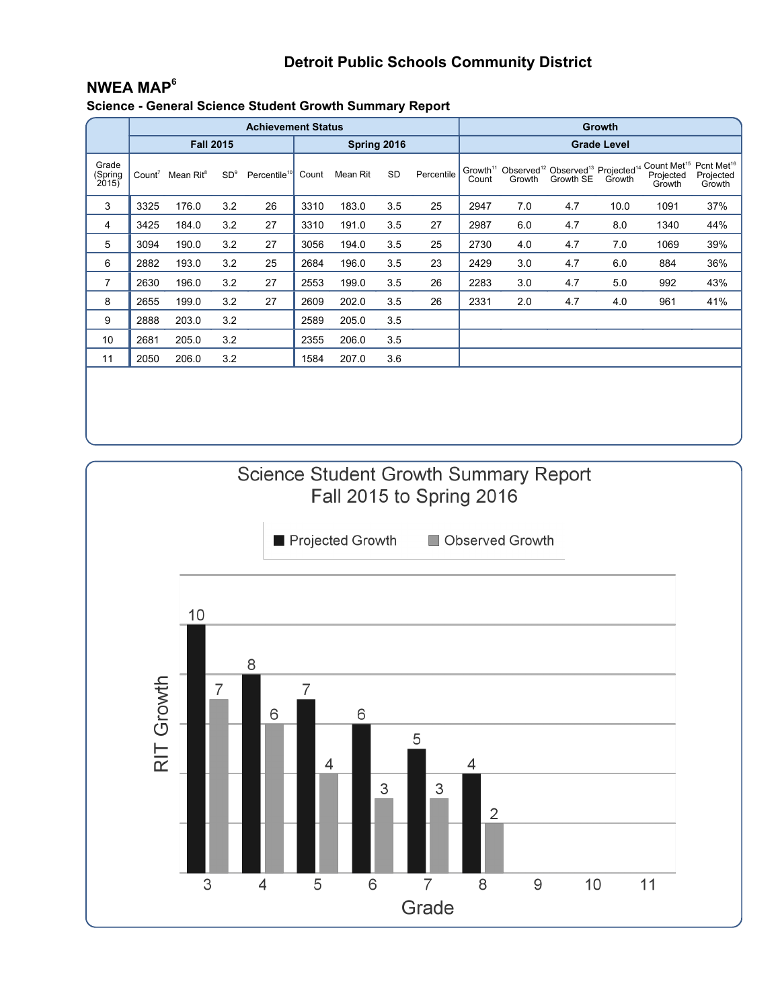## **NWEA MAP<sup>6</sup>**

**Science - General Science Student Growth Summary Report**

|                           |                    |                       |                 | <b>Achievement Status</b> |       |             |           | <b>Growth</b> |                    |        |                                                                                                         |        |                                                |                                               |  |  |
|---------------------------|--------------------|-----------------------|-----------------|---------------------------|-------|-------------|-----------|---------------|--------------------|--------|---------------------------------------------------------------------------------------------------------|--------|------------------------------------------------|-----------------------------------------------|--|--|
|                           |                    | <b>Fall 2015</b>      |                 |                           |       | Spring 2016 |           |               | <b>Grade Level</b> |        |                                                                                                         |        |                                                |                                               |  |  |
| Grade<br>(Spring<br>2015) | Count <sup>7</sup> | Mean Rit <sup>8</sup> | SD <sup>9</sup> | Percentile <sup>10</sup>  | Count | Mean Rit    | <b>SD</b> | Percentile    | Count              | Growth | Growth <sup>11</sup> Observed <sup>12</sup> Observed <sup>13</sup> Projected <sup>14</sup><br>Growth SE | Growth | Count Met <sup>15</sup><br>Projected<br>Growth | Pcnt Met <sup>16</sup><br>Projected<br>Growth |  |  |
| 3                         | 3325               | 176.0                 | 3.2             | 26                        | 3310  | 183.0       | 3.5       | 25            | 2947               | 7.0    | 4.7                                                                                                     | 10.0   | 1091                                           | 37%                                           |  |  |
| 4                         | 3425               | 184.0                 | 3.2             | 27                        | 3310  | 191.0       | 3.5       | 27            | 2987               | 6.0    | 4.7                                                                                                     | 8.0    | 1340                                           | 44%                                           |  |  |
| 5                         | 3094               | 190.0                 | 3.2             | 27                        | 3056  | 194.0       | 3.5       | 25            | 2730               | 4.0    | 4.7                                                                                                     | 7.0    | 1069                                           | 39%                                           |  |  |
| 6                         | 2882               | 193.0                 | 3.2             | 25                        | 2684  | 196.0       | 3.5       | 23            | 2429               | 3.0    | 4.7                                                                                                     | 6.0    | 884                                            | 36%                                           |  |  |
| 7                         | 2630               | 196.0                 | 3.2             | 27                        | 2553  | 199.0       | 3.5       | 26            | 2283               | 3.0    | 4.7                                                                                                     | 5.0    | 992                                            | 43%                                           |  |  |
| 8                         | 2655               | 199.0                 | 3.2             | 27                        | 2609  | 202.0       | 3.5       | 26            | 2331               | 2.0    | 4.7                                                                                                     | 4.0    | 961                                            | 41%                                           |  |  |
| 9                         | 2888               | 203.0                 | 3.2             |                           | 2589  | 205.0       | 3.5       |               |                    |        |                                                                                                         |        |                                                |                                               |  |  |
| 10                        | 2681               | 205.0                 | 3.2             |                           | 2355  | 206.0       | 3.5       |               |                    |        |                                                                                                         |        |                                                |                                               |  |  |
| 11                        | 2050               | 206.0                 | 3.2             |                           | 1584  | 207.0       | 3.6       |               |                    |        |                                                                                                         |        |                                                |                                               |  |  |
|                           |                    |                       |                 |                           |       |             |           |               |                    |        |                                                                                                         |        |                                                |                                               |  |  |

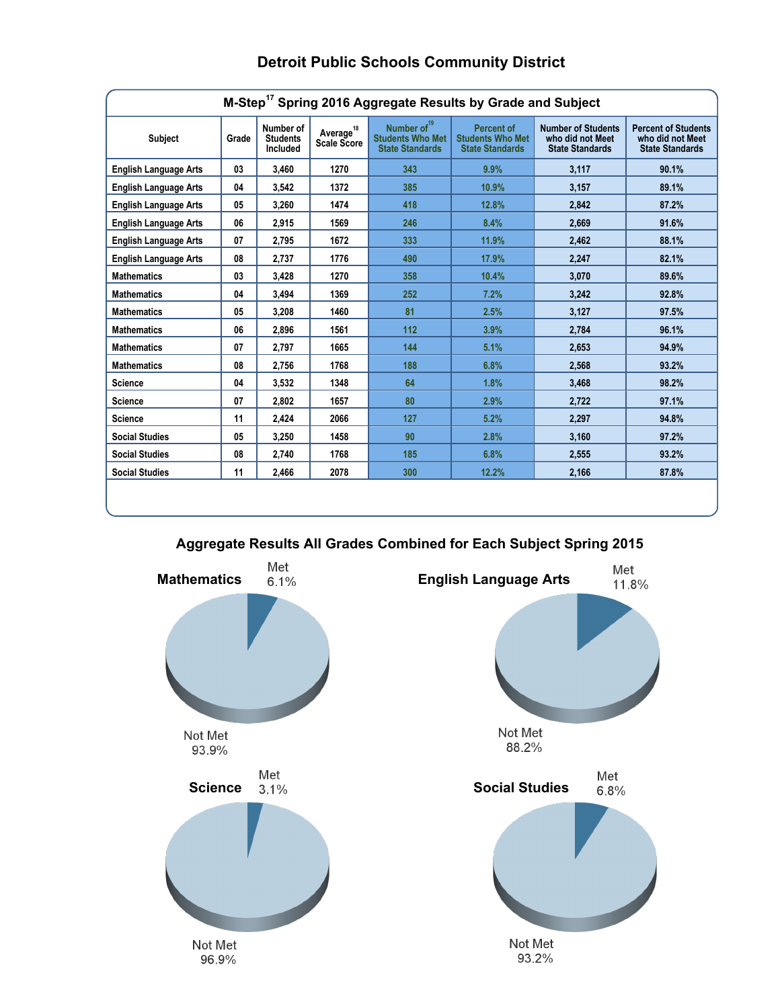| M-Step <sup>17</sup> Spring 2016 Aggregate Results by Grade and Subject |       |                                          |                                      |                                                                              |                                                                        |                                                                         |                                                                          |  |  |  |  |  |
|-------------------------------------------------------------------------|-------|------------------------------------------|--------------------------------------|------------------------------------------------------------------------------|------------------------------------------------------------------------|-------------------------------------------------------------------------|--------------------------------------------------------------------------|--|--|--|--|--|
| <b>Subject</b>                                                          | Grade | Number of<br><b>Students</b><br>Included | Average <sup>18</sup><br>Scale Score | Number of <sup>19</sup><br><b>Students Who Met</b><br><b>State Standards</b> | <b>Percent of</b><br><b>Students Who Met</b><br><b>State Standards</b> | <b>Number of Students</b><br>who did not Meet<br><b>State Standards</b> | <b>Percent of Students</b><br>who did not Meet<br><b>State Standards</b> |  |  |  |  |  |
| <b>English Language Arts</b>                                            | 03    | 3,460                                    | 1270                                 | 343                                                                          | 9.9%                                                                   | 3,117                                                                   | 90.1%                                                                    |  |  |  |  |  |
| <b>English Language Arts</b>                                            | 04    | 3,542                                    | 1372                                 | 385                                                                          | 10.9%                                                                  | 3,157                                                                   | 89.1%                                                                    |  |  |  |  |  |
| <b>English Language Arts</b>                                            | 05    | 3.260                                    | 1474                                 | 418                                                                          | 12.8%                                                                  | 2.842                                                                   | 87.2%                                                                    |  |  |  |  |  |
| <b>English Language Arts</b>                                            | 06    | 2,915                                    | 1569                                 | 246                                                                          | 8.4%                                                                   | 2,669                                                                   | 91.6%                                                                    |  |  |  |  |  |
| <b>English Language Arts</b>                                            | 07    | 2,795                                    | 1672                                 | 333                                                                          | 11.9%                                                                  | 2,462                                                                   | 88.1%                                                                    |  |  |  |  |  |
| <b>English Language Arts</b>                                            | 08    | 2,737                                    | 1776                                 | 490                                                                          | 17.9%                                                                  | 2,247                                                                   | 82.1%                                                                    |  |  |  |  |  |
| <b>Mathematics</b>                                                      | 03    | 3,428                                    | 1270                                 | 358                                                                          | 10.4%                                                                  | 3,070                                                                   | 89.6%                                                                    |  |  |  |  |  |
| <b>Mathematics</b>                                                      | 04    | 3,494                                    | 1369                                 | 252                                                                          | 7.2%                                                                   | 3,242                                                                   | 92.8%                                                                    |  |  |  |  |  |
| <b>Mathematics</b>                                                      | 05    | 3,208                                    | 1460                                 | 81                                                                           | 2.5%                                                                   | 3,127                                                                   | 97.5%                                                                    |  |  |  |  |  |
| <b>Mathematics</b>                                                      | 06    | 2,896                                    | 1561                                 | 112                                                                          | 3.9%                                                                   | 2,784                                                                   | 96.1%                                                                    |  |  |  |  |  |
| <b>Mathematics</b>                                                      | 07    | 2,797                                    | 1665                                 | 144                                                                          | 5.1%                                                                   | 2,653                                                                   | 94.9%                                                                    |  |  |  |  |  |
| <b>Mathematics</b>                                                      | 08    | 2.756                                    | 1768                                 | 188                                                                          | 6.8%                                                                   | 2.568                                                                   | 93.2%                                                                    |  |  |  |  |  |
| <b>Science</b>                                                          | 04    | 3,532                                    | 1348                                 | 64                                                                           | 1.8%                                                                   | 3,468                                                                   | 98.2%                                                                    |  |  |  |  |  |
| <b>Science</b>                                                          | 07    | 2,802                                    | 1657                                 | 80                                                                           | 2.9%                                                                   | 2,722                                                                   | 97.1%                                                                    |  |  |  |  |  |
| <b>Science</b>                                                          | 11    | 2,424                                    | 2066                                 | 127                                                                          | 5.2%                                                                   | 2,297                                                                   | 94.8%                                                                    |  |  |  |  |  |
| <b>Social Studies</b>                                                   | 05    | 3,250                                    | 1458                                 | 90                                                                           | 2.8%                                                                   | 3,160                                                                   | 97.2%                                                                    |  |  |  |  |  |
| <b>Social Studies</b>                                                   | 08    | 2,740                                    | 1768                                 | 185                                                                          | 6.8%                                                                   | 2,555                                                                   | 93.2%                                                                    |  |  |  |  |  |
| <b>Social Studies</b>                                                   | 11    | 2,466                                    | 2078                                 | 300                                                                          | 12.2%                                                                  | 2,166                                                                   | 87.8%                                                                    |  |  |  |  |  |
|                                                                         |       |                                          |                                      |                                                                              |                                                                        |                                                                         |                                                                          |  |  |  |  |  |

**Aggregate Results All Grades Combined for Each Subject Spring 2015**